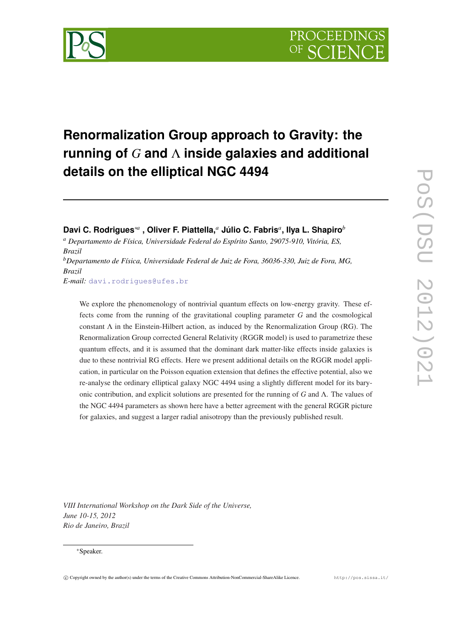

# **Renormalization Group approach to Gravity: the running of** *G* **and** Λ **inside galaxies and additional details on the elliptical NGC 4494**

**Davi C. Rodrigues**∗*<sup>a</sup>* **, Oliver F. Piattella,***<sup>a</sup>* **Júlio C. Fabris***<sup>a</sup>* **, Ilya L. Shapiro***<sup>b</sup>*

*<sup>a</sup> Departamento de Física, Universidade Federal do Espírito Santo, 29075-910, Vitória, ES, Brazil*

*<sup>b</sup>Departamento de Física, Universidade Federal de Juiz de Fora, 36036-330, Juiz de Fora, MG, Brazil*

*E-mail:* [davi.rodrigues@ufes.br](mailto:davi.rodrigues@ufes.br)

We explore the phenomenology of nontrivial quantum effects on low-energy gravity. These effects come from the running of the gravitational coupling parameter *G* and the cosmological constant  $\Lambda$  in the Einstein-Hilbert action, as induced by the Renormalization Group (RG). The Renormalization Group corrected General Relativity (RGGR model) is used to parametrize these quantum effects, and it is assumed that the dominant dark matter-like effects inside galaxies is due to these nontrivial RG effects. Here we present additional details on the RGGR model application, in particular on the Poisson equation extension that defines the effective potential, also we re-analyse the ordinary elliptical galaxy NGC 4494 using a slightly different model for its baryonic contribution, and explicit solutions are presented for the running of *G* and Λ. The values of the NGC 4494 parameters as shown here have a better agreement with the general RGGR picture for galaxies, and suggest a larger radial anisotropy than the previously published result.

*VIII International Workshop on the Dark Side of the Universe, June 10-15, 2012 Rio de Janeiro, Brazil*

## ∗Speaker.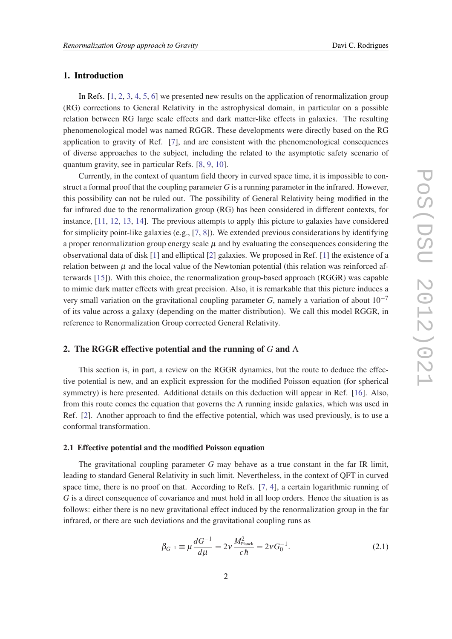# <span id="page-1-0"></span>1. Introduction

In Refs. [\[1,](#page-7-0) [2](#page-7-0), [3](#page-7-0), [4](#page-7-0), [5,](#page-7-0) [6\]](#page-7-0) we presented new results on the application of renormalization group (RG) corrections to General Relativity in the astrophysical domain, in particular on a possible relation between RG large scale effects and dark matter-like effects in galaxies. The resulting phenomenological model was named RGGR. These developments were directly based on the RG application to gravity of Ref. [[7](#page-7-0)], and are consistent with the phenomenological consequences of diverse approaches to the subject, including the related to the asymptotic safety scenario of quantum gravity, see in particular Refs. [[8](#page-7-0), [9](#page-7-0), [10\]](#page-7-0).

Currently, in the context of quantum field theory in curved space time, it is impossible to construct a formal proof that the coupling parameter *G* is a running parameter in the infrared. However, this possibility can not be ruled out. The possibility of General Relativity being modified in the far infrared due to the renormalization group (RG) has been considered in different contexts, for instance, [[11](#page-7-0), [12](#page-7-0), [13,](#page-7-0) [14](#page-7-0)]. The previous attempts to apply this picture to galaxies have considered for simplicity point-like galaxies (e.g., [[7](#page-7-0), [8\]](#page-7-0)). We extended previous considerations by identifying a proper renormalization group energy scale  $\mu$  and by evaluating the consequences considering the observational data of disk [\[1\]](#page-7-0) and elliptical [[2](#page-7-0)] galaxies. We proposed in Ref. [[1](#page-7-0)] the existence of a relation between  $\mu$  and the local value of the Newtonian potential (this relation was reinforced afterwards [\[15](#page-7-0)]). With this choice, the renormalization group-based approach (RGGR) was capable to mimic dark matter effects with great precision. Also, it is remarkable that this picture induces a very small variation on the gravitational coupling parameter *G*, namely a variation of about  $10^{-7}$ of its value across a galaxy (depending on the matter distribution). We call this model RGGR, in reference to Renormalization Group corrected General Relativity.

## 2. The RGGR effective potential and the running of *G* and Λ

This section is, in part, a review on the RGGR dynamics, but the route to deduce the effective potential is new, and an explicit expression for the modified Poisson equation (for spherical symmetry) is here presented. Additional details on this deduction will appear in Ref. [[16\]](#page-7-0). Also, from this route comes the equation that governs the  $\Lambda$  running inside galaxies, which was used in Ref. [\[2\]](#page-7-0). Another approach to find the effective potential, which was used previously, is to use a conformal transformation.

#### 2.1 Effective potential and the modified Poisson equation

The gravitational coupling parameter *G* may behave as a true constant in the far IR limit, leading to standard General Relativity in such limit. Nevertheless, in the context of QFT in curved space time, there is no proof on that. According to Refs. [\[7,](#page-7-0) [4](#page-7-0)], a certain logarithmic running of *G* is a direct consequence of covariance and must hold in all loop orders. Hence the situation is as follows: either there is no new gravitational effect induced by the renormalization group in the far infrared, or there are such deviations and the gravitational coupling runs as

$$
\beta_{G^{-1}} \equiv \mu \frac{dG^{-1}}{d\mu} = 2\nu \frac{M_{\text{Planck}}^2}{c\hbar} = 2\nu G_0^{-1}.
$$
\n(2.1)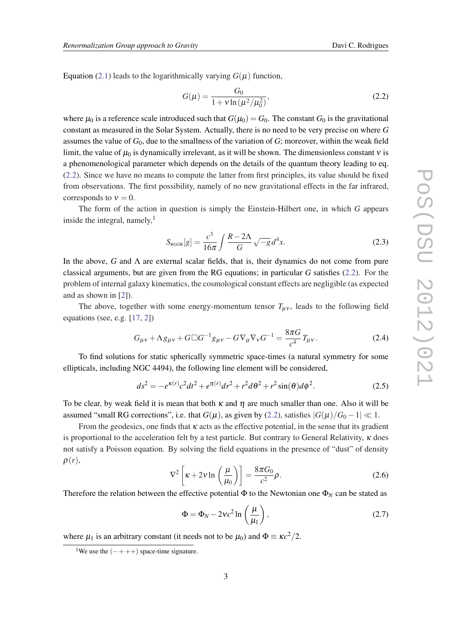<span id="page-2-0"></span>Equation [\(2.1\)](#page-1-0) leads to the logarithmically varying  $G(\mu)$  function,

$$
G(\mu) = \frac{G_0}{1 + v \ln(\mu^2/\mu_0^2)},
$$
\n(2.2)

where  $\mu_0$  is a reference scale introduced such that  $G(\mu_0) = G_0$ . The constant  $G_0$  is the gravitational constant as measured in the Solar System. Actually, there is no need to be very precise on where *G* assumes the value of *G*0, due to the smallness of the variation of *G*; moreover, within the weak field limit, the value of  $\mu_0$  is dynamically irrelevant, as it will be shown. The dimensionless constant  $v$  is a phenomenological parameter which depends on the details of the quantum theory leading to eq. (2.2). Since we have no means to compute the latter from first principles, its value should be fixed from observations. The first possibility, namely of no new gravitational effects in the far infrared, corresponds to  $v = 0$ .

The form of the action in question is simply the Einstein-Hilbert one, in which *G* appears inside the integral, namely, $<sup>1</sup>$ </sup>

$$
S_{\text{RGGR}}[g] = \frac{c^3}{16\pi} \int \frac{R - 2\Lambda}{G} \sqrt{-g} d^4 x. \tag{2.3}
$$

In the above, *G* and Λ are external scalar fields, that is, their dynamics do not come from pure classical arguments, but are given from the RG equations; in particular *G* satisfies (2.2). For the problem of internal galaxy kinematics, the cosmological constant effects are negligible (as expected and as shown in [\[2\]](#page-7-0)).

The above, together with some energy-momentum tensor  $T_{\mu\nu}$ , leads to the following field equations (see, e.g. [[17,](#page-8-0) [2](#page-7-0)])

$$
G_{\mu\nu} + \Lambda g_{\mu\nu} + G \Box G^{-1} g_{\mu\nu} - G \nabla_{\mu} \nabla_{\nu} G^{-1} = \frac{8\pi G}{c^4} T_{\mu\nu}.
$$
 (2.4)

To find solutions for static spherically symmetric space-times (a natural symmetry for some ellipticals, including NGC 4494), the following line element will be considered,

$$
ds^{2} = -e^{\kappa(r)}c^{2}dt^{2} + e^{\eta(r)}dr^{2} + r^{2}d\theta^{2} + r^{2}\sin(\theta)d\phi^{2}.
$$
 (2.5)

To be clear, by weak field it is mean that both  $\kappa$  and  $\eta$  are much smaller than one. Also it will be assumed "small RG corrections", i.e. that  $G(\mu)$ , as given by (2.2), satisfies  $|G(\mu)/G_0 - 1| \ll 1$ .

From the geodesics, one finds that  $\kappa$  acts as the effective potential, in the sense that its gradient is proportional to the acceleration felt by a test particle. But contrary to General Relativity,  $\kappa$  does not satisfy a Poisson equation. By solving the field equations in the presence of "dust" of density ρ(*r*),

$$
\nabla^2 \left[ \kappa + 2\nu \ln \left( \frac{\mu}{\mu_0} \right) \right] = \frac{8\pi G_0}{c^2} \rho.
$$
 (2.6)

Therefore the relation between the effective potential  $\Phi$  to the Newtonian one  $\Phi_N$  can be stated as

$$
\Phi = \Phi_N - 2vc^2 \ln\left(\frac{\mu}{\mu_1}\right),\tag{2.7}
$$

where  $\mu_1$  is an arbitrary constant (it needs not to be  $\mu_0$ ) and  $\Phi \equiv \kappa c^2/2$ .

<sup>&</sup>lt;sup>1</sup>We use the  $(- + + +)$  space-time signature.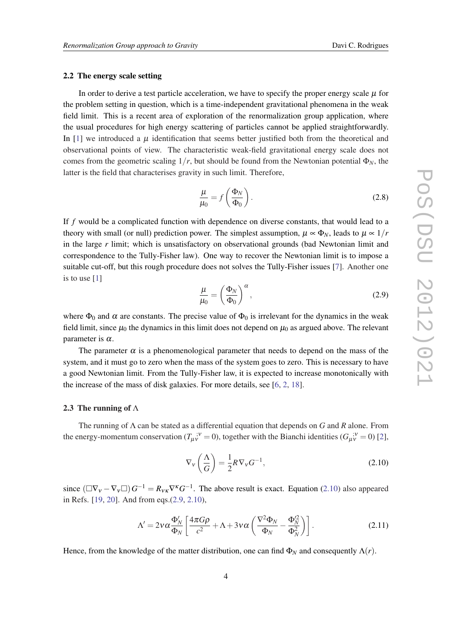#### <span id="page-3-0"></span>2.2 The energy scale setting

In order to derive a test particle acceleration, we have to specify the proper energy scale  $\mu$  for the problem setting in question, which is a time-independent gravitational phenomena in the weak field limit. This is a recent area of exploration of the renormalization group application, where the usual procedures for high energy scattering of particles cannot be applied straightforwardly. In [[1](#page-7-0)] we introduced a  $\mu$  identification that seems better justified both from the theoretical and observational points of view. The characteristic weak-field gravitational energy scale does not comes from the geometric scaling  $1/r$ , but should be found from the Newtonian potential  $\Phi_N$ , the latter is the field that characterises gravity in such limit. Therefore,

$$
\frac{\mu}{\mu_0} = f\left(\frac{\Phi_N}{\Phi_0}\right). \tag{2.8}
$$

If *f* would be a complicated function with dependence on diverse constants, that would lead to a theory with small (or null) prediction power. The simplest assumption,  $\mu \propto \Phi_N$ , leads to  $\mu \propto 1/r$ in the large *r* limit; which is unsatisfactory on observational grounds (bad Newtonian limit and correspondence to the Tully-Fisher law). One way to recover the Newtonian limit is to impose a suitable cut-off, but this rough procedure does not solves the Tully-Fisher issues [[7](#page-7-0)]. Another one is to use [\[1\]](#page-7-0)

$$
\frac{\mu}{\mu_0} = \left(\frac{\Phi_N}{\Phi_0}\right)^\alpha, \tag{2.9}
$$

where  $\Phi_0$  and  $\alpha$  are constants. The precise value of  $\Phi_0$  is irrelevant for the dynamics in the weak field limit, since  $\mu_0$  the dynamics in this limit does not depend on  $\mu_0$  as argued above. The relevant parameter is  $\alpha$ .

The parameter  $\alpha$  is a phenomenological parameter that needs to depend on the mass of the system, and it must go to zero when the mass of the system goes to zero. This is necessary to have a good Newtonian limit. From the Tully-Fisher law, it is expected to increase monotonically with the increase of the mass of disk galaxies. For more details, see [[6](#page-7-0), [2](#page-7-0), [18\]](#page-8-0).

#### 2.3 The running of  $\Lambda$

The running of Λ can be stated as a differential equation that depends on *G* and *R* alone. From the energy-momentum conservation  $(T_{\mu\nu}^{\;\;\;;\nu} = 0)$ , together with the Bianchi identities  $(G_{\mu\nu}^{\;\;\;;\nu} = 0)$  [\[2\]](#page-7-0),

$$
\nabla_{\mathbf{v}}\left(\frac{\Lambda}{G}\right) = \frac{1}{2}R\nabla_{\mathbf{v}}G^{-1},\tag{2.10}
$$

since  $(\Box \nabla_v - \nabla_v \Box) G^{-1} = R_{vK} \nabla^K G^{-1}$ . The above result is exact. Equation (2.10) also appeared in Refs. [\[19](#page-8-0), [20\]](#page-8-0). And from eqs.(2.9, 2.10),

$$
\Lambda' = 2\nu\alpha \frac{\Phi'_N}{\Phi_N} \left[ \frac{4\pi G\rho}{c^2} + \Lambda + 3\nu\alpha \left( \frac{\nabla^2 \Phi_N}{\Phi_N} - \frac{\Phi_N^2}{\Phi_N^2} \right) \right].
$$
 (2.11)

Hence, from the knowledge of the matter distribution, one can find  $\Phi_N$  and consequently  $\Lambda(r)$ .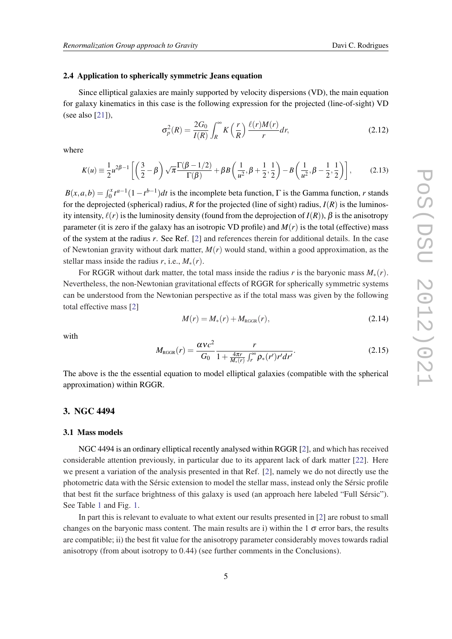## 2.4 Application to spherically symmetric Jeans equation

Since elliptical galaxies are mainly supported by velocity dispersions (VD), the main equation for galaxy kinematics in this case is the following expression for the projected (line-of-sight) VD (see also [[21](#page-8-0)]),

$$
\sigma_p^2(R) = \frac{2G_0}{I(R)} \int_R^{\infty} K\left(\frac{r}{R}\right) \frac{\ell(r)M(r)}{r} dr,\tag{2.12}
$$

where

$$
K(u) \equiv \frac{1}{2}u^{2\beta - 1} \left[ \left( \frac{3}{2} - \beta \right) \sqrt{\pi} \frac{\Gamma(\beta - 1/2)}{\Gamma(\beta)} + \beta B \left( \frac{1}{u^2}, \beta + \frac{1}{2}, \frac{1}{2} \right) - B \left( \frac{1}{u^2}, \beta - \frac{1}{2}, \frac{1}{2} \right) \right],
$$
 (2.13)

 $B(x, a, b) = \int_0^x t^{a-1} (1 - t^{b-1}) dt$  is the incomplete beta function,  $\Gamma$  is the Gamma function, *r* stands for the deprojected (spherical) radius,  $R$  for the projected (line of sight) radius,  $I(R)$  is the luminosity intensity,  $\ell(r)$  is the luminosity density (found from the deprojection of  $I(R)$ ),  $\beta$  is the anisotropy parameter (it is zero if the galaxy has an isotropic VD profile) and  $M(r)$  is the total (effective) mass of the system at the radius *r*. See Ref. [[2](#page-7-0)] and references therein for additional details. In the case of Newtonian gravity without dark matter, *M*(*r*) would stand, within a good approximation, as the stellar mass inside the radius  $r$ , i.e.,  $M_*(r)$ .

For RGGR without dark matter, the total mass inside the radius *r* is the baryonic mass  $M_*(r)$ . Nevertheless, the non-Newtonian gravitational effects of RGGR for spherically symmetric systems can be understood from the Newtonian perspective as if the total mass was given by the following total effective mass [[2](#page-7-0)]

$$
M(r) = M_*(r) + M_{\text{RGGR}}(r),
$$
\n(2.14)

with

$$
M_{\text{RGGR}}(r) = \frac{\alpha v c^2}{G_0} \frac{r}{1 + \frac{4\pi r}{M_*(r)} \int_r^{\infty} \rho_*(r') r' dr'}.
$$
 (2.15)

The above is the the essential equation to model elliptical galaxies (compatible with the spherical approximation) within RGGR.

## 3. NGC 4494

#### 3.1 Mass models

NGC 4494 is an ordinary elliptical recently analysed within RGGR [[2](#page-7-0)], and which has received considerable attention previously, in particular due to its apparent lack of dark matter [\[22](#page-8-0)]. Here we present a variation of the analysis presented in that Ref. [\[2\]](#page-7-0), namely we do not directly use the photometric data with the Sérsic extension to model the stellar mass, instead only the Sérsic profile that best fit the surface brightness of this galaxy is used (an approach here labeled "Full Sérsic"). See Table [1](#page-5-0) and Fig. [1](#page-5-0).

In part this is relevant to evaluate to what extent our results presented in [\[2\]](#page-7-0) are robust to small changes on the baryonic mass content. The main results are i) within the  $1\sigma$  error bars, the results are compatible; ii) the best fit value for the anisotropy parameter considerably moves towards radial anisotropy (from about isotropy to 0.44) (see further comments in the Conclusions).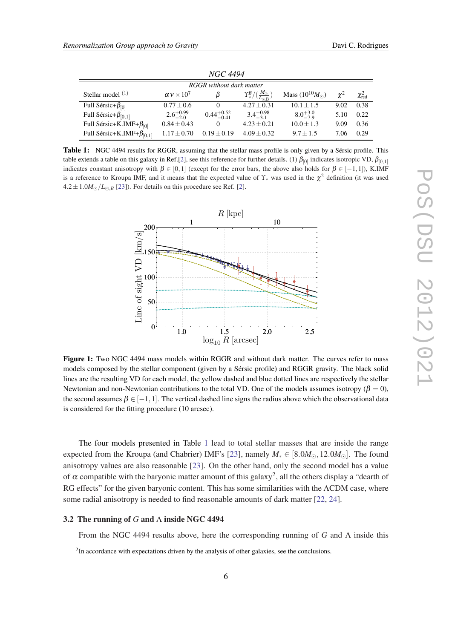<span id="page-5-0"></span>

| NGC 4494                           |                        |                        |                                                        |                            |          |                       |
|------------------------------------|------------------------|------------------------|--------------------------------------------------------|----------------------------|----------|-----------------------|
| <b>RGGR</b> without dark matter    |                        |                        |                                                        |                            |          |                       |
| Stellar model $(1)$                | $\alpha v \times 10^7$ | В                      | $ \Upsilon_*^B/(\frac{M_\odot}{L_{\odot,\mathrm{B}}})$ | Mass $(10^{10} M_{\odot})$ | $\chi^2$ | $\chi^2_\mathrm{red}$ |
| Full Sérsic+ $\beta_{[0]}$         | $0.77 \pm 0.6$         | $\theta$               | $4.27 \pm 0.31$                                        | $10.1 \pm 1.5$             | 9.02     | 0.38                  |
| Full Sérsic+ $\beta_{[0,1]}$       | $2.6^{+0.99}_{-2.0}$   | $0.44^{+0.52}_{-0.41}$ | $3.4^{+0.98}_{-3.1}$                                   | $8.0^{+3.0}_{-7.9}$        | 5.10     | 0.22                  |
| Full Sérsic+K.IMF+ $\beta_{[0]}$   | $0.84 \pm 0.43$        | $\theta$               | $4.23 \pm 0.21$                                        | $10.0 \pm 1.3$             | 9.09     | 0.36                  |
| Full Sérsic+K.IMF+ $\beta_{[0,1]}$ | $1.17 \pm 0.70$        | $0.19 \pm 0.19$        | $4.09 \pm 0.32$                                        | $9.7 \pm 1.5$              | 7.06     | 0.29                  |

Table 1: NGC 4494 results for RGGR, assuming that the stellar mass profile is only given by a Sérsic profile. This table extends a table on this galaxy in Ref.[[2](#page-7-0)], see this reference for further details. (1)  $\beta_{[0]}$  indicates isotropic VD,  $\beta_{[0,1]}$ indicates constant anisotropy with  $\beta \in [0,1]$  (except for the error bars, the above also holds for  $\beta \in [-1,1]$ ), K.IMF is a reference to Kroupa IMF, and it means that the expected value of  $\Upsilon_*$  was used in the  $\chi^2$  definition (it was used  $4.2 \pm 1.0 M_{\odot}/L_{\odot}$  $4.2 \pm 1.0 M_{\odot}/L_{\odot}$  $4.2 \pm 1.0 M_{\odot}/L_{\odot}$  [[23\]](#page-8-0)). For details on this procedure see Ref. [2].



Figure 1: Two NGC 4494 mass models within RGGR and without dark matter. The curves refer to mass models composed by the stellar component (given by a Sérsic profile) and RGGR gravity. The black solid lines are the resulting VD for each model, the yellow dashed and blue dotted lines are respectively the stellar Newtonian and non-Newtonian contributions to the total VD. One of the models assumes isotropy ( $\beta = 0$ ), the second assumes  $\beta \in [-1,1]$ . The vertical dashed line signs the radius above which the observational data is considered for the fitting procedure (10 arcsec).

The four models presented in Table 1 lead to total stellar masses that are inside the range expected from the Kroupa (and Chabrier) IMF's [[23\]](#page-8-0), namely  $M_* \in [8.0M_{\odot}, 12.0M_{\odot}]$ . The found anisotropy values are also reasonable [\[23](#page-8-0)]. On the other hand, only the second model has a value of  $\alpha$  compatible with the baryonic matter amount of this galaxy<sup>2</sup>, all the others display a "dearth of RG effects" for the given baryonic content. This has some similarities with the ΛCDM case, where some radial anisotropy is needed to find reasonable amounts of dark matter [\[22](#page-8-0), [24](#page-8-0)].

#### 3.2 The running of *G* and Λ inside NGC 4494

From the NGC 4494 results above, here the corresponding running of *G* and Λ inside this

<sup>&</sup>lt;sup>2</sup>In accordance with expectations driven by the analysis of other galaxies, see the conclusions.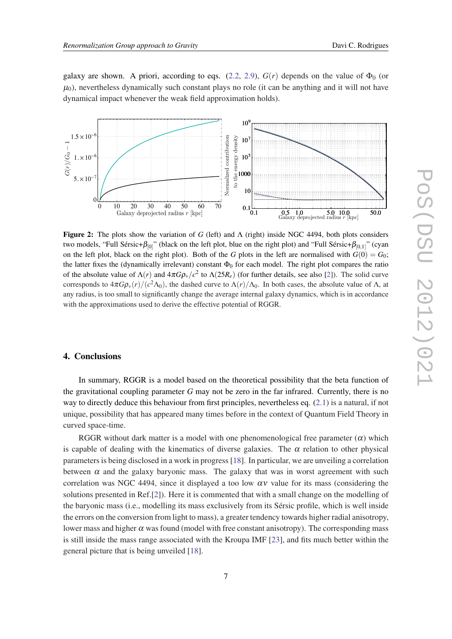galaxy are shown. A priori, according to eqs. [\(2.2,](#page-2-0) [2.9](#page-3-0)),  $G(r)$  depends on the value of  $\Phi_0$  (or  $\mu_0$ ), nevertheless dynamically such constant plays no role (it can be anything and it will not have dynamical impact whenever the weak field approximation holds).



Figure 2: The plots show the variation of *G* (left) and  $\Lambda$  (right) inside NGC 4494, both plots considers two models, "Full Sérsic+ $\beta_{[0]}$ " (black on the left plot, blue on the right plot) and "Full Sérsic+ $\beta_{[0,1]}$ " (cyan on the left plot, black on the right plot). Both of the *G* plots in the left are normalised with  $G(0) = G_0$ ; the latter fixes the (dynamically irrelevant) constant  $\Phi_0$  for each model. The right plot compares the ratio of the absolute value of  $\Lambda(r)$  and  $4\pi G\rho_*/c^2$  to  $\Lambda(25R_e)$  (for further details, see also [[2\]](#page-7-0)). The solid curve corresponds to  $4\pi G\rho_*(r)/(c^2\Lambda_0)$ , the dashed curve to  $\Lambda(r)/\Lambda_0$ . In both cases, the absolute value of  $\Lambda$ , at any radius, is too small to significantly change the average internal galaxy dynamics, which is in accordance with the approximations used to derive the effective potential of RGGR.

## 4. Conclusions

In summary, RGGR is a model based on the theoretical possibility that the beta function of the gravitational coupling parameter *G* may not be zero in the far infrared. Currently, there is no way to directly deduce this behaviour from first principles, nevertheless eq.  $(2.1)$  is a natural, if not unique, possibility that has appeared many times before in the context of Quantum Field Theory in curved space-time.

RGGR without dark matter is a model with one phenomenological free parameter  $(\alpha)$  which is capable of dealing with the kinematics of diverse galaxies. The  $\alpha$  relation to other physical parameters is being disclosed in a work in progress [[18\]](#page-8-0). In particular, we are unveiling a correlation between  $\alpha$  and the galaxy baryonic mass. The galaxy that was in worst agreement with such correlation was NGC 4494, since it displayed a too low  $\alpha v$  value for its mass (considering the solutions presented in Ref.[\[2\]](#page-7-0)). Here it is commented that with a small change on the modelling of the baryonic mass (i.e., modelling its mass exclusively from its Sérsic profile, which is well inside the errors on the conversion from light to mass), a greater tendency towards higher radial anisotropy, lower mass and higher  $\alpha$  was found (model with free constant anisotropy). The corresponding mass is still inside the mass range associated with the Kroupa IMF [[23\]](#page-8-0), and fits much better within the general picture that is being unveiled [[18](#page-8-0)].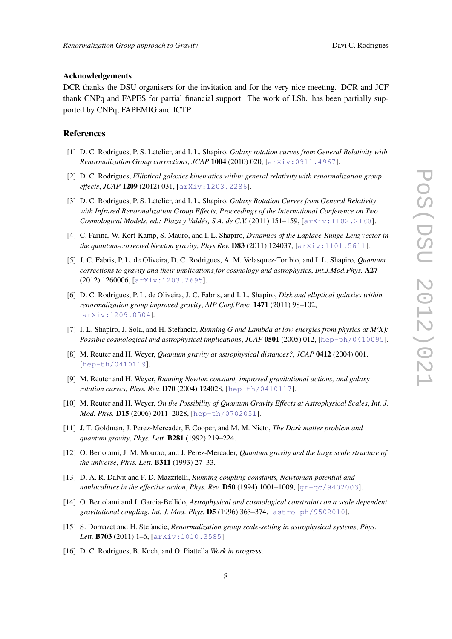#### <span id="page-7-0"></span>Acknowledgements

DCR thanks the DSU organisers for the invitation and for the very nice meeting. DCR and JCF thank CNPq and FAPES for partial financial support. The work of I.Sh. has been partially supported by CNPq, FAPEMIG and ICTP.

#### References

- [1] D. C. Rodrigues, P. S. Letelier, and I. L. Shapiro, *Galaxy rotation curves from General Relativity with Renormalization Group corrections*, *JCAP* 1004 (2010) 020, [[arXiv:0911.4967](http://xxx.lanl.gov/abs/0911.4967)].
- [2] D. C. Rodrigues, *Elliptical galaxies kinematics within general relativity with renormalization group effects*, *JCAP* 1209 (2012) 031, [[arXiv:1203.2286](http://xxx.lanl.gov/abs/1203.2286)].
- [3] D. C. Rodrigues, P. S. Letelier, and I. L. Shapiro, *Galaxy Rotation Curves from General Relativity with Infrared Renormalization Group Effects*, *Proceedings of the International Conference on Two Cosmological Models, ed.: Plaza y Valdés, S.A. de C.V.* (2011) 151–159, [[arXiv:1102.2188](http://xxx.lanl.gov/abs/1102.2188)].
- [4] C. Farina, W. Kort-Kamp, S. Mauro, and I. L. Shapiro, *Dynamics of the Laplace-Runge-Lenz vector in the quantum-corrected Newton gravity*, *Phys.Rev.* D83 (2011) 124037, [[arXiv:1101.5611](http://xxx.lanl.gov/abs/1101.5611)].
- [5] J. C. Fabris, P. L. de Oliveira, D. C. Rodrigues, A. M. Velasquez-Toribio, and I. L. Shapiro, *Quantum corrections to gravity and their implications for cosmology and astrophysics*, *Int.J.Mod.Phys.* A27 (2012) 1260006, [[arXiv:1203.2695](http://xxx.lanl.gov/abs/1203.2695)].
- [6] D. C. Rodrigues, P. L. de Oliveira, J. C. Fabris, and I. L. Shapiro, *Disk and elliptical galaxies within renormalization group improved gravity*, *AIP Conf.Proc.* 1471 (2011) 98–102, [[arXiv:1209.0504](http://xxx.lanl.gov/abs/1209.0504)].
- [7] I. L. Shapiro, J. Sola, and H. Stefancic, *Running G and Lambda at low energies from physics at M(X): Possible cosmological and astrophysical implications, JCAP* 0501 (2005) 012, [[hep-ph/0410095](http://xxx.lanl.gov/abs/hep-ph/0410095)].
- [8] M. Reuter and H. Weyer, *Quantum gravity at astrophysical distances?*, *JCAP* 0412 (2004) 001, [[hep-th/0410119](http://xxx.lanl.gov/abs/hep-th/0410119)].
- [9] M. Reuter and H. Weyer, *Running Newton constant, improved gravitational actions, and galaxy rotation curves*, *Phys. Rev.* D70 (2004) 124028, [[hep-th/0410117](http://xxx.lanl.gov/abs/hep-th/0410117)].
- [10] M. Reuter and H. Weyer, *On the Possibility of Quantum Gravity Effects at Astrophysical Scales*, *Int. J. Mod. Phys.* D15 (2006) 2011–2028, [[hep-th/0702051](http://xxx.lanl.gov/abs/hep-th/0702051)].
- [11] J. T. Goldman, J. Perez-Mercader, F. Cooper, and M. M. Nieto, *The Dark matter problem and quantum gravity*, *Phys. Lett.* B281 (1992) 219–224.
- [12] O. Bertolami, J. M. Mourao, and J. Perez-Mercader, *Quantum gravity and the large scale structure of the universe*, *Phys. Lett.* B311 (1993) 27–33.
- [13] D. A. R. Dalvit and F. D. Mazzitelli, *Running coupling constants, Newtonian potential and nonlocalities in the effective action*, *Phys. Rev.* D50 (1994) 1001–1009, [[gr-qc/9402003](http://xxx.lanl.gov/abs/gr-qc/9402003)].
- [14] O. Bertolami and J. Garcia-Bellido, *Astrophysical and cosmological constraints on a scale dependent gravitational coupling*, *Int. J. Mod. Phys.* D5 (1996) 363–374, [[astro-ph/9502010](http://xxx.lanl.gov/abs/astro-ph/9502010)].
- [15] S. Domazet and H. Stefancic, *Renormalization group scale-setting in astrophysical systems*, *Phys. Lett.* B703 (2011) 1–6, [[arXiv:1010.3585](http://xxx.lanl.gov/abs/1010.3585)].
- [16] D. C. Rodrigues, B. Koch, and O. Piattella *Work in progress*.